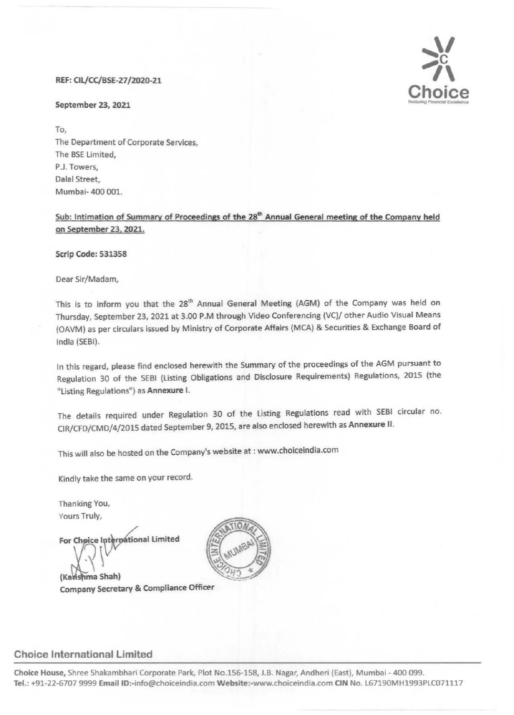#### REF: Cll/CC/BSE-27/2020-21

#### September 23, 2021

 $\sum_{i=1}^{n}$ **Choice**   $C$ hoice

To, The Department of Corporate Services, The BSE limited, P.J. Towers, Dalal Street, Mumbai- 400 001.

Sub: Intimation of Summary of Proceedings of the 28<sup>th</sup> Annual General meeting of the Company held on September 23, 2021.

Scrip Code: 531358

Dear Sir/Madam,

This is to inform you that the 28<sup>th</sup> Annual General Meeting (AGM) of the Company was held on Thursday, September 23, 2021 at 3.00 P.M through Video Conferencing (VC)/ other Audio Visual Means (OAVM) as per circulars issued by Ministry of Corporate Affairs (MCA) & Securities & Exchange Board of India (SEBI).

In this regard, please find enclosed herewith the Summary of the proceedings of the AGM pursuant to Regulation 30 of the SEBI (Listing Obligations and Disclosure Requirements) Regulations, 2015 (the "Listing Regulations") as Annexure I.

The details required under Regulation 30 of the listing Regulations read with SEBI circular no. ClR/CFD/CMD/4/2015 dated September 9, 2015, are also enclosed herewith as Annexure II.

This will also be hosted on the Company's website at : www.choiceindia.com

Kindly take the same on your record.

Thanking You, Yours Truly,

For Choice International Limited

(Kanshma Shah) Company Secretary & Compliance Officer



## Choice International Limited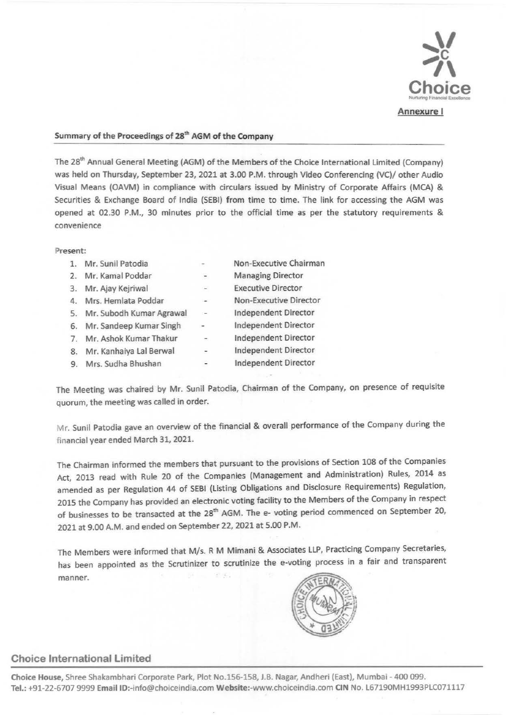

#### Summary of the Proceedings of 28<sup>th</sup> AGM of the Company

The 28<sup>th</sup> Annual General Meeting (AGM) of the Members of the Choice International Limited (Company) was held on Thursday, September 23, 2021 at 3.00 P.M. through Video Conferencing (VC)/ other Audio Visual Means (OAVM) in compliance with circulars issued by Ministry of Corporate Affairs (MCA) & Securities & Exchange Board of India (SEBI) from time to time. The link for accessing the AGM was opened at 02.30 P.M., 30 minutes prior to the official time as per the statutory requirements & convenience

#### Present:

| 1. | Mr. Sunil Patodia        | $\rightarrow$            | Non-Executive Chairman      |
|----|--------------------------|--------------------------|-----------------------------|
| 2. | Mr. Kamal Poddar         | $\overline{\phantom{a}}$ | <b>Managing Director</b>    |
| 3. | Mr. Ajay Kejriwal        | $\omega$                 | <b>Executive Director</b>   |
| 4. | Mrs. Hemlata Poddar      | in 1919.                 | Non-Executive Director      |
| 5. | Mr. Subodh Kumar Agrawal | $\overline{\phantom{a}}$ | <b>Independent Director</b> |
| 6. | Mr. Sandeep Kumar Singh  | $\overline{\phantom{a}}$ | Independent Director        |
| 7. | Mr. Ashok Kumar Thakur   | ×                        | Independent Director        |
| 8. | Mr. Kanhaiya Lal Berwal  | $\overline{\phantom{a}}$ | <b>Independent Director</b> |
|    | Mrs. Sudha Bhushan       | $\hat{\phantom{a}}$      | <b>Independent Director</b> |

The Meeting was chaired by Mr. Sunil Patodia, Chairman of the Company, on presence of requisite quorum, the meeting was called in order.

Mr. Sunil Patodia gave an overview of the financial & overall performance of the Company during the financial year ended March 31, 2021.

The Chairman informed the members that pursuant to the provisions of Section 108 of the Companies Act, 2013 read with Rule 20 of the Companies (Management and Administration) Rules, 2014 as amended as per Regulation 44 of SEBI (Listing Obligations and Disclosure Requirements) Regulation, 2015 the Company has provided an electronic voting facility to the Members of the Company in respect of businesses to be transacted at the 28<sup>th</sup> AGM. The e- voting period commenced on September 20, 2021 at 9.00 A.M. and ended on September 22, 2021 at 5.00 P.M.

The Members were informed that M/s. R M Mimani & Associates LLP, Practicing Company Secretaries, has been appointed as the Scrutinizer to scrutinize the e-voting process in a fair and transparent  $\mathcal{L}_{\mathcal{L}}$ manner.



#### Choice International Limited

Choice House, Shree Shakambhari Corporate Park, Plot No.156-158, J.B. Nagar, Andheri (East), Mumbai - 400 099. Tel.: +91-22-6707 9999 Email ID:-info@choiceindia.com Website:-www.choiceindia.com CIN No. L67190MH1993PLC071117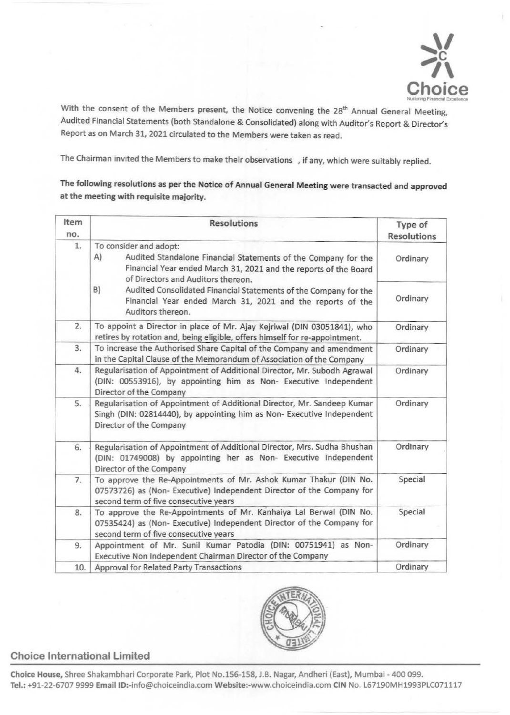

With the consent of the Members present, the Notice convening the 28<sup>th</sup> Annual General Meeting, Audited Financial Statements (both Standalone & Consolidated) along with Auditor's Report & Director's Report as on March 31, 2021 circulated to the Members were taken as read.

The Chairman invited the Members to make their observations , if any, which were suitably replied.

The following resolutions as per the Notice of Annual General Meeting were transacted and approved at the meeting with requisite majority.

| Item<br>no. | <b>Resolutions</b>                                                                                                                                                                                       | Type of<br><b>Resolutions</b> |
|-------------|----------------------------------------------------------------------------------------------------------------------------------------------------------------------------------------------------------|-------------------------------|
| 1.          | To consider and adopt:<br>A)<br>Audited Standalone Financial Statements of the Company for the<br>Financial Year ended March 31, 2021 and the reports of the Board<br>of Directors and Auditors thereon. |                               |
|             | B)<br>Audited Consolidated Financial Statements of the Company for the<br>Financial Year ended March 31, 2021 and the reports of the<br>Auditors thereon.                                                | Ordinary                      |
| 2.          | To appoint a Director in place of Mr. Ajay Kejriwal (DIN 03051841), who<br>retires by rotation and, being eligible, offers himself for re-appointment.                                                   | Ordinary                      |
| 3.          | To increase the Authorised Share Capital of the Company and amendment<br>in the Capital Clause of the Memorandum of Association of the Company                                                           | Ordinary                      |
| 4.          | Regularisation of Appointment of Additional Director, Mr. Subodh Agrawal<br>(DIN: 00553916), by appointing him as Non- Executive Independent<br>Director of the Company                                  |                               |
| 5.          | Regularisation of Appointment of Additional Director, Mr. Sandeep Kumar<br>Singh (DIN: 02814440), by appointing him as Non- Executive Independent<br>Director of the Company                             |                               |
| 6.          | Regularisation of Appointment of Additional Director, Mrs. Sudha Bhushan<br>(DIN: 01749008) by appointing her as Non- Executive Independent<br>Director of the Company                                   | Ordinary                      |
| 7.          | To approve the Re-Appointments of Mr. Ashok Kumar Thakur (DIN No.<br>07573726) as (Non- Executive) Independent Director of the Company for<br>second term of five consecutive years                      | Special                       |
| 8.          | To approve the Re-Appointments of Mr. Kanhaiya Lal Berwal (DIN No.<br>07535424) as (Non- Executive) Independent Director of the Company for<br>second term of five consecutive years                     | Special                       |
| 9.          | Appointment of Mr. Sunil Kumar Patodia (DIN: 00751941) as Non-<br>Executive Non Independent Chairman Director of the Company                                                                             | Ordinary                      |
| 10.         | Approval for Related Party Transactions                                                                                                                                                                  | Ordinary                      |



## Choice International Limited

Choice House, Shree Shakambhari Corporate Park, Plot No.156-158, J.B. Nagar, Andheri (East), Mumbai- 400 099. Tel.: +91-22-6707 9999 Email ID:-info@choiceindia.com Website:-www.choiceindia.com CIN No. L67190MH1993PLC071117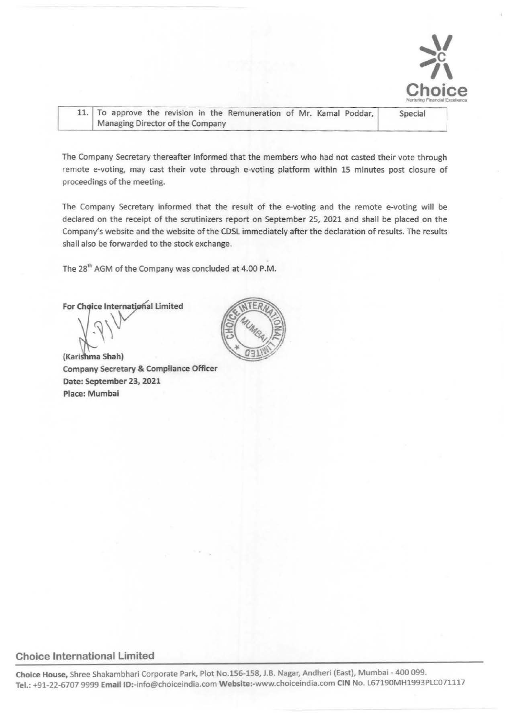

| 11. To approve the revision in the Remuneration of Mr. Kamal Poddar, | Special |
|----------------------------------------------------------------------|---------|
| Managing Director of the Company                                     |         |

The Company Secretary thereafter informed that the members who had not casted their vote through remote e-voting, may cast their vote through e-voting platform within 15 minutes post closure of proceedings of the meeting.

The Company Secretary informed that the result of the e-voting and the remote e-voting will be declared on the receipt of the scrutinizers report on September 25, 2021 and shall be placed on the Company's website and the website of the CDSL immediately after the declaration of results. The results shall also be forwarded to the stock exchange.

The 28<sup>th</sup> AGM of the Company was concluded at 4.00 P.M.

For Choice International Limited ,~\



#### Choice International limited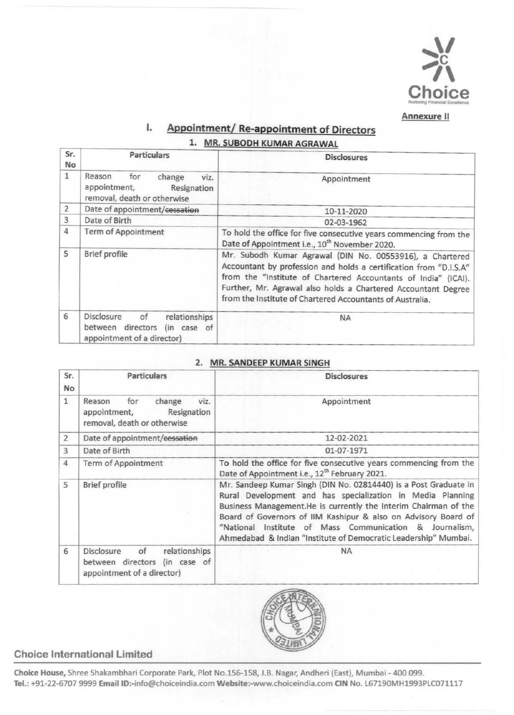

# I. Appointment/ Re-appointment of Directors 1. MR. SUBODH KUMAR AGRAWAL

| Sr.<br>No      | <b>Particulars</b>                                                                                  | <b>Disclosures</b>                                                                                                                                                                                                                                                                                                            |
|----------------|-----------------------------------------------------------------------------------------------------|-------------------------------------------------------------------------------------------------------------------------------------------------------------------------------------------------------------------------------------------------------------------------------------------------------------------------------|
| $\mathbf{1}$   | Reason<br>for<br>change<br>viz.<br>appointment,<br>Resignation<br>removal, death or otherwise       | Appointment                                                                                                                                                                                                                                                                                                                   |
| 2              | Date of appointment/cessation                                                                       | 10-11-2020                                                                                                                                                                                                                                                                                                                    |
| $\overline{3}$ | Date of Birth                                                                                       | 02-03-1962                                                                                                                                                                                                                                                                                                                    |
| 4              | <b>Term of Appointment</b>                                                                          | To hold the office for five consecutive years commencing from the<br>Date of Appointment i.e., 10 <sup>th</sup> November 2020.                                                                                                                                                                                                |
| 5              | Brief profile                                                                                       | Mr. Subodh Kumar Agrawal (DIN No. 00553916), a Chartered<br>Accountant by profession and holds a certification from "D.I.S.A"<br>from the "Institute of Chartered Accountants of India" (ICAI).<br>Further, Mr. Agrawal also holds a Chartered Accountant Degree<br>from the Institute of Chartered Accountants of Australia. |
| 6              | Disclosure<br>relationships<br>of<br>between directors<br>(in case of<br>appointment of a director) | <b>NA</b>                                                                                                                                                                                                                                                                                                                     |

## 2. MR. SANDEEP KUMAR SINGH

| Sr.<br>No      | <b>Particulars</b>                                                                                  | <b>Disclosures</b>                                                                                                                                                                                                                                                                                                                                                                                |
|----------------|-----------------------------------------------------------------------------------------------------|---------------------------------------------------------------------------------------------------------------------------------------------------------------------------------------------------------------------------------------------------------------------------------------------------------------------------------------------------------------------------------------------------|
| 1              | for<br>change<br>viz.<br>Reason<br>Resignation<br>appointment,<br>removal, death or otherwise       | Appointment                                                                                                                                                                                                                                                                                                                                                                                       |
| $\overline{2}$ | Date of appointment/cessation                                                                       | 12-02-2021                                                                                                                                                                                                                                                                                                                                                                                        |
| 3              | Date of Birth                                                                                       | 01-07-1971                                                                                                                                                                                                                                                                                                                                                                                        |
| 4              | <b>Term of Appointment</b>                                                                          | To hold the office for five consecutive years commencing from the<br>Date of Appointment i.e., 12 <sup>th</sup> February 2021.                                                                                                                                                                                                                                                                    |
| 5              | <b>Brief profile</b>                                                                                | Mr. Sandeep Kumar Singh (DIN No. 02814440) is a Post Graduate in<br>Rural Development and has specialization in Media Planning<br>Business Management.He is currently the Interim Chairman of the<br>Board of Governors of IIM Kashipur & also on Advisory Board of<br>"National Institute of Mass Communication & Journalism,<br>Ahmedabad & Indian "Institute of Democratic Leadership" Mumbai. |
| 6              | relationships<br>of<br>Disclosure<br>between directors<br>(in case of<br>appointment of a director) | <b>NA</b>                                                                                                                                                                                                                                                                                                                                                                                         |



## Choice International Limited

Choice House, Shree Shakambhari Corporate Park, Plot No.lSG-158, J.B. Nagar, Andheri (East), Mumbai- 400 099. Tel.: +91-22-6707 9999 Email ID:-info@choiceindia.com Website:-www.choiceindia.com CIN No. L67190MH1993PLC071117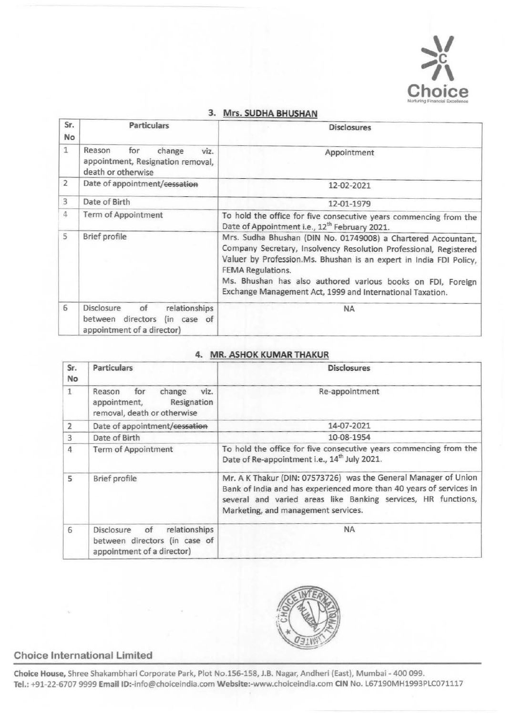

| Sr.<br>No      | <b>Particulars</b>                                                                                     | <b>Disclosures</b>                                                                                                                                                                                                                                                                                                                                               |
|----------------|--------------------------------------------------------------------------------------------------------|------------------------------------------------------------------------------------------------------------------------------------------------------------------------------------------------------------------------------------------------------------------------------------------------------------------------------------------------------------------|
| 1              | Reason<br>for<br>change<br>viz.<br>appointment, Resignation removal,<br>death or otherwise             | Appointment                                                                                                                                                                                                                                                                                                                                                      |
| $\overline{2}$ | Date of appointment/cessation                                                                          | 12-02-2021                                                                                                                                                                                                                                                                                                                                                       |
| 3              | Date of Birth                                                                                          | 12-01-1979                                                                                                                                                                                                                                                                                                                                                       |
| 4              | <b>Term of Appointment</b>                                                                             | To hold the office for five consecutive years commencing from the<br>Date of Appointment i.e., 12 <sup>th</sup> February 2021.                                                                                                                                                                                                                                   |
| 5              | Brief profile                                                                                          | Mrs. Sudha Bhushan (DIN No. 01749008) a Chartered Accountant,<br>Company Secretary, Insolvency Resolution Professional, Registered<br>Valuer by Profession.Ms. Bhushan is an expert in India FDI Policy,<br><b>FEMA Regulations.</b><br>Ms. Bhushan has also authored various books on FDI, Foreign<br>Exchange Management Act, 1999 and International Taxation. |
| 6              | Disclosure<br>of<br>relationships<br>directors<br>between<br>(in case of<br>appointment of a director) | <b>NA</b>                                                                                                                                                                                                                                                                                                                                                        |

#### 3. Mrs. SUDHA BHUSHAN

## 4. MR. ASHOK KUMAR THAKUR

| Sr.<br>No      | <b>Particulars</b>                                                                               | <b>Disclosures</b>                                                                                                                                                                                                                             |
|----------------|--------------------------------------------------------------------------------------------------|------------------------------------------------------------------------------------------------------------------------------------------------------------------------------------------------------------------------------------------------|
| $\mathbf{1}$   | for<br>change<br>viz.<br>Reason<br>Resignation<br>appointment,<br>removal, death or otherwise    | Re-appointment                                                                                                                                                                                                                                 |
| 2              | Date of appointment/cessation                                                                    | 14-07-2021                                                                                                                                                                                                                                     |
| $\overline{3}$ | Date of Birth                                                                                    | 10-08-1954                                                                                                                                                                                                                                     |
| 4              | Term of Appointment                                                                              | To hold the office for five consecutive years commencing from the<br>Date of Re-appointment i.e., 14 <sup>th</sup> July 2021.                                                                                                                  |
| 5              | Brief profile                                                                                    | Mr. A K Thakur (DIN: 07573726) was the General Manager of Union<br>Bank of India and has experienced more than 40 years of services in<br>several and varied areas like Banking services, HR functions,<br>Marketing, and management services. |
| 6              | of<br>relationships<br>Disclosure<br>between directors (in case of<br>appointment of a director) | <b>NA</b>                                                                                                                                                                                                                                      |



# Choice International Limited

Choice House, Shree Shakambhari Corporate Park, Plot No.156-158, J.B. Nagar, Andheri (East), Mumbai- 400 099. Tel.: +91-22-6707 9999 Email ID:-info@choiceindia.com Website:-www.choiceindia.com CIN No. L67190MH1993PLC071117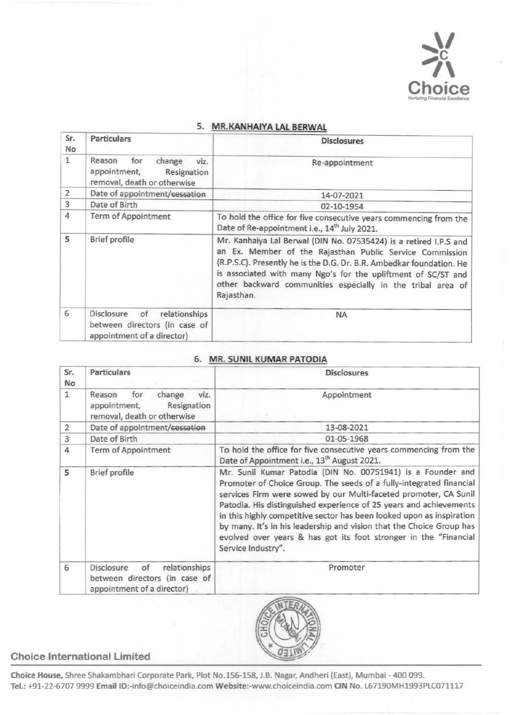

| Sr.<br>No.     | <b>Particulars</b>                                                                               | <b>Disclosures</b>                                                                                                                                                                                                                                                                                                                                  |
|----------------|--------------------------------------------------------------------------------------------------|-----------------------------------------------------------------------------------------------------------------------------------------------------------------------------------------------------------------------------------------------------------------------------------------------------------------------------------------------------|
| $\mathbf{1}$   | Reason<br>for<br>change<br>viz.<br>appointment,<br>Resignation<br>removal, death or otherwise    | Re-appointment                                                                                                                                                                                                                                                                                                                                      |
| $\overline{2}$ | Date of appointment/cessation                                                                    | 14-07-2021                                                                                                                                                                                                                                                                                                                                          |
| 3              | Date of Birth                                                                                    | 02-10-1954                                                                                                                                                                                                                                                                                                                                          |
| $\overline{4}$ | Term of Appointment                                                                              | To hold the office for five consecutive years commencing from the<br>Date of Re-appointment i.e., 14 <sup>th</sup> July 2021.                                                                                                                                                                                                                       |
| 5              | Brief profile                                                                                    | Mr. Kanhaiya Lal Berwal (DIN No. 07535424) is a retired I.P.S and<br>an Ex. Member of the Rajasthan Public Service Commission<br>(R.P.S.C). Presently he is the D.G. Dr. B.R. Ambedkar foundation. He<br>is associated with many Ngo's for the upliftment of SC/ST and<br>other backward communities especially in the tribal area of<br>Rajasthan. |
| 6              | Disclosure<br>of<br>relationships<br>between directors (in case of<br>appointment of a director) | <b>NA</b>                                                                                                                                                                                                                                                                                                                                           |

### 5. MR. KANHAIYA LAL BERWAL

## 6. MR. SUNIL KUMAR PATODIA

| Sr.<br>No      | <b>Particulars</b>                                                                                      | <b>Disclosures</b>                                                                                                                                                                                                                                                                                                                                                                                                                                                                                                      |
|----------------|---------------------------------------------------------------------------------------------------------|-------------------------------------------------------------------------------------------------------------------------------------------------------------------------------------------------------------------------------------------------------------------------------------------------------------------------------------------------------------------------------------------------------------------------------------------------------------------------------------------------------------------------|
| 1              | change<br>Reason<br>for<br>viz.<br>appointment,<br>Resignation<br>removal, death or otherwise           | Appointment                                                                                                                                                                                                                                                                                                                                                                                                                                                                                                             |
| $\overline{2}$ | Date of appointment/cessation                                                                           | 13-08-2021                                                                                                                                                                                                                                                                                                                                                                                                                                                                                                              |
| 3              | Date of Birth                                                                                           | 01-05-1968                                                                                                                                                                                                                                                                                                                                                                                                                                                                                                              |
| 4              | <b>Term of Appointment</b>                                                                              | To hold the office for five consecutive years commencing from the<br>Date of Appointment i.e., 13 <sup>th</sup> August 2021.                                                                                                                                                                                                                                                                                                                                                                                            |
| 5              | Brief profile                                                                                           | Mr. Sunil Kumar Patodia (DIN No. 00751941) is a Founder and<br>Promoter of Choice Group. The seeds of a fully-integrated financial<br>services Firm were sowed by our Multi-faceted promoter, CA Sunil<br>Patodia. His distinguished experience of 25 years and achievements<br>in this highly competitive sector has been looked upon as inspiration<br>by many. It's in his leadership and vision that the Choice Group has<br>evolved over years & has got its foot stronger in the "Financial<br>Service Industry". |
| 6              | relationships<br><b>Disclosure</b><br>of<br>between directors (in case of<br>appointment of a director) | Promoter                                                                                                                                                                                                                                                                                                                                                                                                                                                                                                                |



# Choice International Limited

Choice House, Shree Shakambhari Corporate Park, Plot No.lSG-158, J.B. Nagar, Andheri (East), Mumbai- 400 099. Tel.: +91-22-6707 9999 Email ID:-info@choiceindia.com Website:-www.choiceindia.com CIN No. L67190MH1993PLC071117